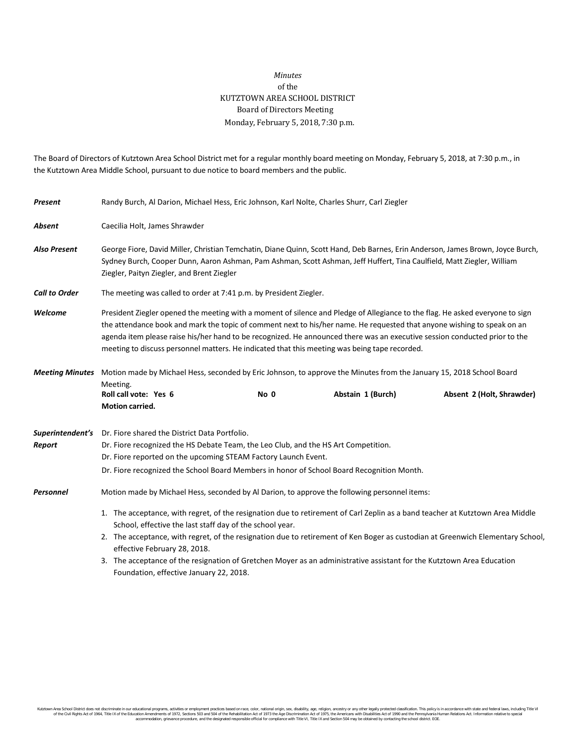## *Minutes* of the KUTZTOWN AREA SCHOOL DISTRICT Board of Directors Meeting Monday, February 5, 2018, 7:30 p.m.

The Board of Directors of Kutztown Area School District met for a regular monthly board meeting on Monday, February 5, 2018, at 7:30 p.m., in the Kutztown Area Middle School, pursuant to due notice to board members and the public.

| Present              | Randy Burch, Al Darion, Michael Hess, Eric Johnson, Karl Nolte, Charles Shurr, Carl Ziegler                                                                                                                                                                                                                                                                                                                                                                                             |      |                   |                           |  |
|----------------------|-----------------------------------------------------------------------------------------------------------------------------------------------------------------------------------------------------------------------------------------------------------------------------------------------------------------------------------------------------------------------------------------------------------------------------------------------------------------------------------------|------|-------------------|---------------------------|--|
| Absent               | Caecilia Holt, James Shrawder                                                                                                                                                                                                                                                                                                                                                                                                                                                           |      |                   |                           |  |
| <b>Also Present</b>  | George Fiore, David Miller, Christian Temchatin, Diane Quinn, Scott Hand, Deb Barnes, Erin Anderson, James Brown, Joyce Burch,<br>Sydney Burch, Cooper Dunn, Aaron Ashman, Pam Ashman, Scott Ashman, Jeff Huffert, Tina Caulfield, Matt Ziegler, William<br>Ziegler, Paityn Ziegler, and Brent Ziegler                                                                                                                                                                                  |      |                   |                           |  |
| <b>Call to Order</b> | The meeting was called to order at 7:41 p.m. by President Ziegler.                                                                                                                                                                                                                                                                                                                                                                                                                      |      |                   |                           |  |
| Welcome              | President Ziegler opened the meeting with a moment of silence and Pledge of Allegiance to the flag. He asked everyone to sign<br>the attendance book and mark the topic of comment next to his/her name. He requested that anyone wishing to speak on an<br>agenda item please raise his/her hand to be recognized. He announced there was an executive session conducted prior to the<br>meeting to discuss personnel matters. He indicated that this meeting was being tape recorded. |      |                   |                           |  |
|                      | Meeting Minutes Motion made by Michael Hess, seconded by Eric Johnson, to approve the Minutes from the January 15, 2018 School Board                                                                                                                                                                                                                                                                                                                                                    |      |                   |                           |  |
|                      | Meeting.<br>Roll call vote: Yes 6<br><b>Motion carried.</b>                                                                                                                                                                                                                                                                                                                                                                                                                             | No 0 | Abstain 1 (Burch) | Absent 2 (Holt, Shrawder) |  |
| Superintendent's     | Dr. Fiore shared the District Data Portfolio.                                                                                                                                                                                                                                                                                                                                                                                                                                           |      |                   |                           |  |
| Report               | Dr. Fiore recognized the HS Debate Team, the Leo Club, and the HS Art Competition.                                                                                                                                                                                                                                                                                                                                                                                                      |      |                   |                           |  |
|                      | Dr. Fiore reported on the upcoming STEAM Factory Launch Event.                                                                                                                                                                                                                                                                                                                                                                                                                          |      |                   |                           |  |
|                      | Dr. Fiore recognized the School Board Members in honor of School Board Recognition Month.                                                                                                                                                                                                                                                                                                                                                                                               |      |                   |                           |  |
| Personnel            | Motion made by Michael Hess, seconded by Al Darion, to approve the following personnel items:                                                                                                                                                                                                                                                                                                                                                                                           |      |                   |                           |  |
|                      | 1. The acceptance, with regret, of the resignation due to retirement of Carl Zeplin as a band teacher at Kutztown Area Middle<br>School, effective the last staff day of the school year.                                                                                                                                                                                                                                                                                               |      |                   |                           |  |
|                      | 2. The acceptance, with regret, of the resignation due to retirement of Ken Boger as custodian at Greenwich Elementary School,<br>effective February 28, 2018.                                                                                                                                                                                                                                                                                                                          |      |                   |                           |  |
|                      | 3. The acceptance of the resignation of Gretchen Moyer as an administrative assistant for the Kutztown Area Education<br>Foundation, effective January 22, 2018.                                                                                                                                                                                                                                                                                                                        |      |                   |                           |  |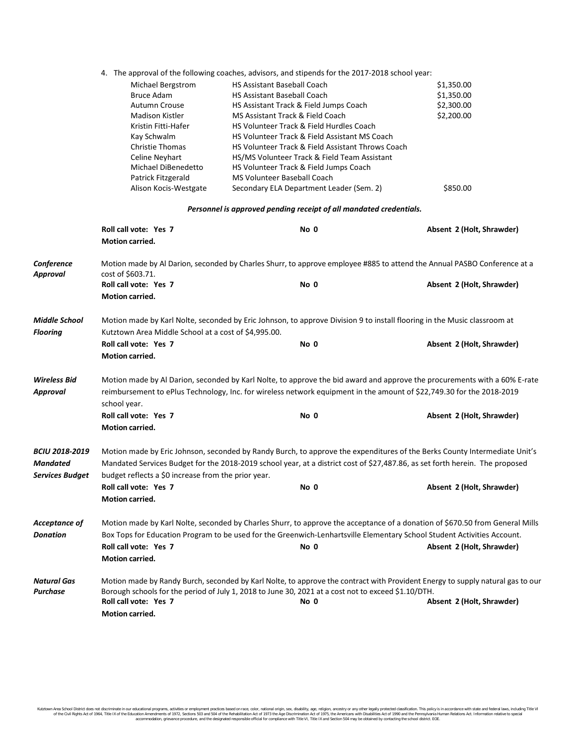|                               | 4. The approval of the following coaches, advisors, and stipends for the 2017-2018 school year:                                               |                                                                                                                                |                           |  |  |  |
|-------------------------------|-----------------------------------------------------------------------------------------------------------------------------------------------|--------------------------------------------------------------------------------------------------------------------------------|---------------------------|--|--|--|
|                               | Michael Bergstrom                                                                                                                             | <b>HS Assistant Baseball Coach</b>                                                                                             | \$1,350.00                |  |  |  |
|                               | <b>Bruce Adam</b>                                                                                                                             | <b>HS Assistant Baseball Coach</b>                                                                                             | \$1,350.00                |  |  |  |
|                               | Autumn Crouse                                                                                                                                 | HS Assistant Track & Field Jumps Coach                                                                                         | \$2,300.00                |  |  |  |
|                               | <b>Madison Kistler</b>                                                                                                                        | MS Assistant Track & Field Coach                                                                                               | \$2,200.00                |  |  |  |
|                               | Kristin Fitti-Hafer                                                                                                                           | HS Volunteer Track & Field Hurdles Coach                                                                                       |                           |  |  |  |
|                               | Kay Schwalm                                                                                                                                   | HS Volunteer Track & Field Assistant MS Coach                                                                                  |                           |  |  |  |
|                               | Christie Thomas                                                                                                                               | HS Volunteer Track & Field Assistant Throws Coach                                                                              |                           |  |  |  |
|                               | Celine Neyhart                                                                                                                                | HS/MS Volunteer Track & Field Team Assistant                                                                                   |                           |  |  |  |
|                               | Michael DiBenedetto                                                                                                                           | HS Volunteer Track & Field Jumps Coach                                                                                         |                           |  |  |  |
|                               | Patrick Fitzgerald                                                                                                                            | MS Volunteer Baseball Coach                                                                                                    |                           |  |  |  |
|                               | Alison Kocis-Westgate                                                                                                                         | Secondary ELA Department Leader (Sem. 2)                                                                                       | \$850.00                  |  |  |  |
|                               |                                                                                                                                               | Personnel is approved pending receipt of all mandated credentials.                                                             |                           |  |  |  |
|                               | Roll call vote: Yes 7                                                                                                                         | No 0                                                                                                                           | Absent 2 (Holt, Shrawder) |  |  |  |
|                               | Motion carried.                                                                                                                               |                                                                                                                                |                           |  |  |  |
|                               |                                                                                                                                               |                                                                                                                                |                           |  |  |  |
| Conference<br><b>Approval</b> | Motion made by Al Darion, seconded by Charles Shurr, to approve employee #885 to attend the Annual PASBO Conference at a<br>cost of \$603.71. |                                                                                                                                |                           |  |  |  |
|                               | Roll call vote: Yes 7                                                                                                                         | No 0                                                                                                                           | Absent 2 (Holt, Shrawder) |  |  |  |
|                               | <b>Motion carried.</b>                                                                                                                        |                                                                                                                                |                           |  |  |  |
|                               |                                                                                                                                               |                                                                                                                                |                           |  |  |  |
| Middle School                 | Motion made by Karl Nolte, seconded by Eric Johnson, to approve Division 9 to install flooring in the Music classroom at                      |                                                                                                                                |                           |  |  |  |
| <b>Flooring</b>               | Kutztown Area Middle School at a cost of \$4,995.00.                                                                                          |                                                                                                                                |                           |  |  |  |
|                               | Roll call vote: Yes 7                                                                                                                         | No 0                                                                                                                           | Absent 2 (Holt, Shrawder) |  |  |  |
|                               | Motion carried.                                                                                                                               |                                                                                                                                |                           |  |  |  |
| <b>Wireless Bid</b>           |                                                                                                                                               | Motion made by Al Darion, seconded by Karl Nolte, to approve the bid award and approve the procurements with a 60% E-rate      |                           |  |  |  |
| <b>Approval</b>               | reimbursement to ePlus Technology, Inc. for wireless network equipment in the amount of \$22,749.30 for the 2018-2019<br>school year.         |                                                                                                                                |                           |  |  |  |
|                               | Roll call vote: Yes 7                                                                                                                         | No 0                                                                                                                           | Absent 2 (Holt, Shrawder) |  |  |  |
|                               | Motion carried.                                                                                                                               |                                                                                                                                |                           |  |  |  |
|                               |                                                                                                                                               |                                                                                                                                |                           |  |  |  |
| <b>BCIU 2018-2019</b>         |                                                                                                                                               | Motion made by Eric Johnson, seconded by Randy Burch, to approve the expenditures of the Berks County Intermediate Unit's      |                           |  |  |  |
| <b>Mandated</b>               |                                                                                                                                               | Mandated Services Budget for the 2018-2019 school year, at a district cost of \$27,487.86, as set forth herein. The proposed   |                           |  |  |  |
| Services Budget               | budget reflects a \$0 increase from the prior year.                                                                                           |                                                                                                                                |                           |  |  |  |
|                               | Roll call vote: Yes 7                                                                                                                         | No 0                                                                                                                           | Absent 2 (Holt, Shrawder) |  |  |  |
|                               | <b>Motion carried.</b>                                                                                                                        |                                                                                                                                |                           |  |  |  |
| Acceptance of                 |                                                                                                                                               | Motion made by Karl Nolte, seconded by Charles Shurr, to approve the acceptance of a donation of \$670.50 from General Mills   |                           |  |  |  |
| <b>Donation</b>               |                                                                                                                                               | Box Tops for Education Program to be used for the Greenwich-Lenhartsville Elementary School Student Activities Account.        |                           |  |  |  |
|                               | Roll call vote: Yes 7                                                                                                                         | No 0                                                                                                                           | Absent 2 (Holt, Shrawder) |  |  |  |
|                               | Motion carried.                                                                                                                               |                                                                                                                                |                           |  |  |  |
|                               |                                                                                                                                               |                                                                                                                                |                           |  |  |  |
| <b>Natural Gas</b>            |                                                                                                                                               | Motion made by Randy Burch, seconded by Karl Nolte, to approve the contract with Provident Energy to supply natural gas to our |                           |  |  |  |
| Purchase                      | Borough schools for the period of July 1, 2018 to June 30, 2021 at a cost not to exceed \$1.10/DTH.<br>Roll call vote: Yes 7                  |                                                                                                                                |                           |  |  |  |
|                               |                                                                                                                                               | No 0                                                                                                                           | Absent 2 (Holt, Shrawder) |  |  |  |
|                               | Motion carried.                                                                                                                               |                                                                                                                                |                           |  |  |  |
|                               |                                                                                                                                               |                                                                                                                                |                           |  |  |  |